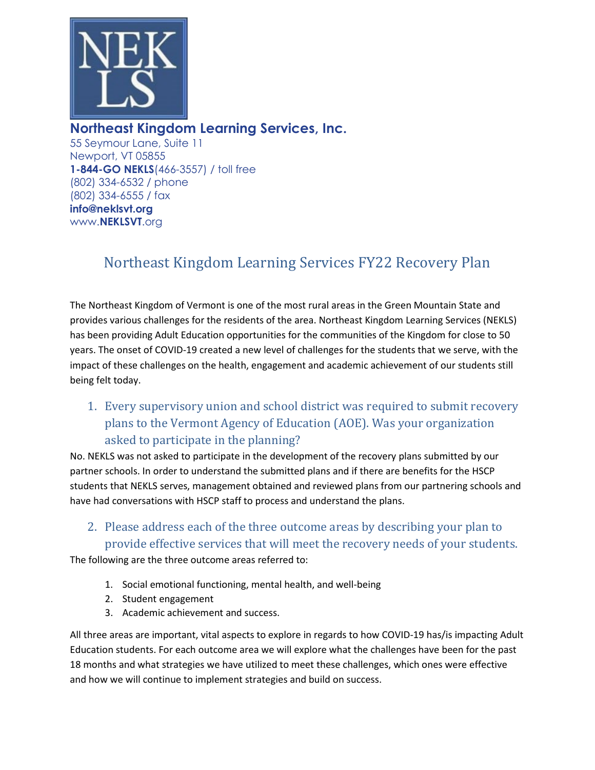

# **Northeast Kingdom Learning Services, Inc.**

55 Seymour Lane, Suite 11 Newport, VT 05855 **1-844-GO NEKLS**(466-3557) / toll free (802) 334-6532 / phone (802) 334-6555 / fax **info@neklsvt.org** www.**NEKLSVT**.org

# Northeast Kingdom Learning Services FY22 Recovery Plan

The Northeast Kingdom of Vermont is one of the most rural areas in the Green Mountain State and provides various challenges for the residents of the area. Northeast Kingdom Learning Services (NEKLS) has been providing Adult Education opportunities for the communities of the Kingdom for close to 50 years. The onset of COVID-19 created a new level of challenges for the students that we serve, with the impact of these challenges on the health, engagement and academic achievement of our students still being felt today.

1. Every supervisory union and school district was required to submit recovery plans to the Vermont Agency of Education (AOE). Was your organization asked to participate in the planning?

No. NEKLS was not asked to participate in the development of the recovery plans submitted by our partner schools. In order to understand the submitted plans and if there are benefits for the HSCP students that NEKLS serves, management obtained and reviewed plans from our partnering schools and have had conversations with HSCP staff to process and understand the plans.

2. Please address each of the three outcome areas by describing your plan to provide effective services that will meet the recovery needs of your students.

The following are the three outcome areas referred to:

- 1. Social emotional functioning, mental health, and well-being
- 2. Student engagement
- 3. Academic achievement and success.

All three areas are important, vital aspects to explore in regards to how COVID-19 has/is impacting Adult Education students. For each outcome area we will explore what the challenges have been for the past 18 months and what strategies we have utilized to meet these challenges, which ones were effective and how we will continue to implement strategies and build on success.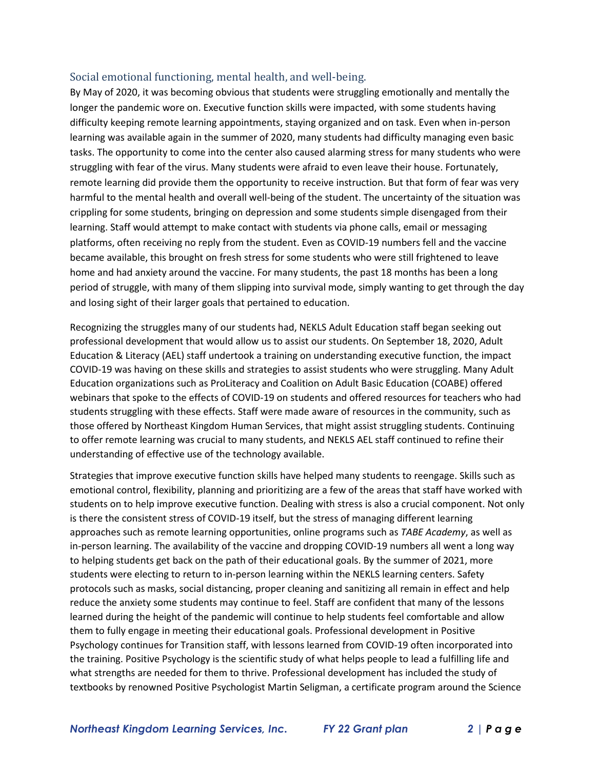#### Social emotional functioning, mental health, and well-being.

By May of 2020, it was becoming obvious that students were struggling emotionally and mentally the longer the pandemic wore on. Executive function skills were impacted, with some students having difficulty keeping remote learning appointments, staying organized and on task. Even when in-person learning was available again in the summer of 2020, many students had difficulty managing even basic tasks. The opportunity to come into the center also caused alarming stress for many students who were struggling with fear of the virus. Many students were afraid to even leave their house. Fortunately, remote learning did provide them the opportunity to receive instruction. But that form of fear was very harmful to the mental health and overall well-being of the student. The uncertainty of the situation was crippling for some students, bringing on depression and some students simple disengaged from their learning. Staff would attempt to make contact with students via phone calls, email or messaging platforms, often receiving no reply from the student. Even as COVID-19 numbers fell and the vaccine became available, this brought on fresh stress for some students who were still frightened to leave home and had anxiety around the vaccine. For many students, the past 18 months has been a long period of struggle, with many of them slipping into survival mode, simply wanting to get through the day and losing sight of their larger goals that pertained to education.

Recognizing the struggles many of our students had, NEKLS Adult Education staff began seeking out professional development that would allow us to assist our students. On September 18, 2020, Adult Education & Literacy (AEL) staff undertook a training on understanding executive function, the impact COVID-19 was having on these skills and strategies to assist students who were struggling. Many Adult Education organizations such as ProLiteracy and Coalition on Adult Basic Education (COABE) offered webinars that spoke to the effects of COVID-19 on students and offered resources for teachers who had students struggling with these effects. Staff were made aware of resources in the community, such as those offered by Northeast Kingdom Human Services, that might assist struggling students. Continuing to offer remote learning was crucial to many students, and NEKLS AEL staff continued to refine their understanding of effective use of the technology available.

Strategies that improve executive function skills have helped many students to reengage. Skills such as emotional control, flexibility, planning and prioritizing are a few of the areas that staff have worked with students on to help improve executive function. Dealing with stress is also a crucial component. Not only is there the consistent stress of COVID-19 itself, but the stress of managing different learning approaches such as remote learning opportunities, online programs such as *TABE Academy*, as well as in-person learning. The availability of the vaccine and dropping COVID-19 numbers all went a long way to helping students get back on the path of their educational goals. By the summer of 2021, more students were electing to return to in-person learning within the NEKLS learning centers. Safety protocols such as masks, social distancing, proper cleaning and sanitizing all remain in effect and help reduce the anxiety some students may continue to feel. Staff are confident that many of the lessons learned during the height of the pandemic will continue to help students feel comfortable and allow them to fully engage in meeting their educational goals. Professional development in Positive Psychology continues for Transition staff, with lessons learned from COVID-19 often incorporated into the training. Positive Psychology is the scientific study of what helps people to lead a fulfilling life and what strengths are needed for them to thrive. Professional development has included the study of textbooks by renowned Positive Psychologist Martin Seligman, a certificate program around the Science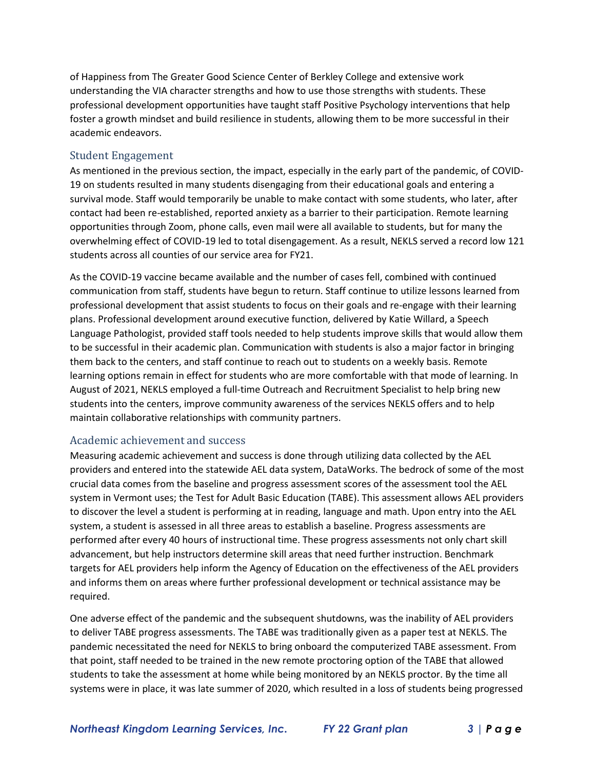of Happiness from The Greater Good Science Center of Berkley College and extensive work understanding the VIA character strengths and how to use those strengths with students. These professional development opportunities have taught staff Positive Psychology interventions that help foster a growth mindset and build resilience in students, allowing them to be more successful in their academic endeavors.

#### Student Engagement

As mentioned in the previous section, the impact, especially in the early part of the pandemic, of COVID-19 on students resulted in many students disengaging from their educational goals and entering a survival mode. Staff would temporarily be unable to make contact with some students, who later, after contact had been re-established, reported anxiety as a barrier to their participation. Remote learning opportunities through Zoom, phone calls, even mail were all available to students, but for many the overwhelming effect of COVID-19 led to total disengagement. As a result, NEKLS served a record low 121 students across all counties of our service area for FY21.

As the COVID-19 vaccine became available and the number of cases fell, combined with continued communication from staff, students have begun to return. Staff continue to utilize lessons learned from professional development that assist students to focus on their goals and re-engage with their learning plans. Professional development around executive function, delivered by Katie Willard, a Speech Language Pathologist, provided staff tools needed to help students improve skills that would allow them to be successful in their academic plan. Communication with students is also a major factor in bringing them back to the centers, and staff continue to reach out to students on a weekly basis. Remote learning options remain in effect for students who are more comfortable with that mode of learning. In August of 2021, NEKLS employed a full-time Outreach and Recruitment Specialist to help bring new students into the centers, improve community awareness of the services NEKLS offers and to help maintain collaborative relationships with community partners.

#### Academic achievement and success

Measuring academic achievement and success is done through utilizing data collected by the AEL providers and entered into the statewide AEL data system, DataWorks. The bedrock of some of the most crucial data comes from the baseline and progress assessment scores of the assessment tool the AEL system in Vermont uses; the Test for Adult Basic Education (TABE). This assessment allows AEL providers to discover the level a student is performing at in reading, language and math. Upon entry into the AEL system, a student is assessed in all three areas to establish a baseline. Progress assessments are performed after every 40 hours of instructional time. These progress assessments not only chart skill advancement, but help instructors determine skill areas that need further instruction. Benchmark targets for AEL providers help inform the Agency of Education on the effectiveness of the AEL providers and informs them on areas where further professional development or technical assistance may be required.

One adverse effect of the pandemic and the subsequent shutdowns, was the inability of AEL providers to deliver TABE progress assessments. The TABE was traditionally given as a paper test at NEKLS. The pandemic necessitated the need for NEKLS to bring onboard the computerized TABE assessment. From that point, staff needed to be trained in the new remote proctoring option of the TABE that allowed students to take the assessment at home while being monitored by an NEKLS proctor. By the time all systems were in place, it was late summer of 2020, which resulted in a loss of students being progressed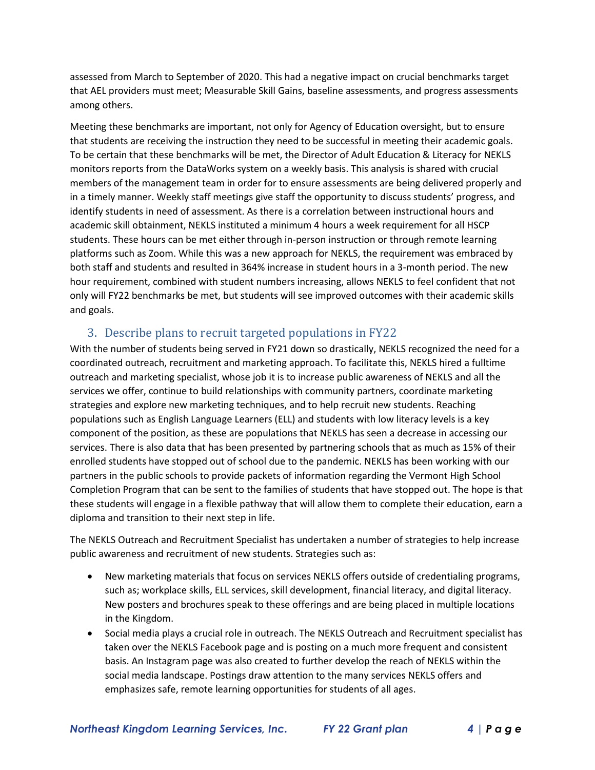assessed from March to September of 2020. This had a negative impact on crucial benchmarks target that AEL providers must meet; Measurable Skill Gains, baseline assessments, and progress assessments among others.

Meeting these benchmarks are important, not only for Agency of Education oversight, but to ensure that students are receiving the instruction they need to be successful in meeting their academic goals. To be certain that these benchmarks will be met, the Director of Adult Education & Literacy for NEKLS monitors reports from the DataWorks system on a weekly basis. This analysis is shared with crucial members of the management team in order for to ensure assessments are being delivered properly and in a timely manner. Weekly staff meetings give staff the opportunity to discuss students' progress, and identify students in need of assessment. As there is a correlation between instructional hours and academic skill obtainment, NEKLS instituted a minimum 4 hours a week requirement for all HSCP students. These hours can be met either through in-person instruction or through remote learning platforms such as Zoom. While this was a new approach for NEKLS, the requirement was embraced by both staff and students and resulted in 364% increase in student hours in a 3-month period. The new hour requirement, combined with student numbers increasing, allows NEKLS to feel confident that not only will FY22 benchmarks be met, but students will see improved outcomes with their academic skills and goals.

## 3. Describe plans to recruit targeted populations in FY22

With the number of students being served in FY21 down so drastically, NEKLS recognized the need for a coordinated outreach, recruitment and marketing approach. To facilitate this, NEKLS hired a fulltime outreach and marketing specialist, whose job it is to increase public awareness of NEKLS and all the services we offer, continue to build relationships with community partners, coordinate marketing strategies and explore new marketing techniques, and to help recruit new students. Reaching populations such as English Language Learners (ELL) and students with low literacy levels is a key component of the position, as these are populations that NEKLS has seen a decrease in accessing our services. There is also data that has been presented by partnering schools that as much as 15% of their enrolled students have stopped out of school due to the pandemic. NEKLS has been working with our partners in the public schools to provide packets of information regarding the Vermont High School Completion Program that can be sent to the families of students that have stopped out. The hope is that these students will engage in a flexible pathway that will allow them to complete their education, earn a diploma and transition to their next step in life.

The NEKLS Outreach and Recruitment Specialist has undertaken a number of strategies to help increase public awareness and recruitment of new students. Strategies such as:

- New marketing materials that focus on services NEKLS offers outside of credentialing programs, such as; workplace skills, ELL services, skill development, financial literacy, and digital literacy. New posters and brochures speak to these offerings and are being placed in multiple locations in the Kingdom.
- Social media plays a crucial role in outreach. The NEKLS Outreach and Recruitment specialist has taken over the NEKLS Facebook page and is posting on a much more frequent and consistent basis. An Instagram page was also created to further develop the reach of NEKLS within the social media landscape. Postings draw attention to the many services NEKLS offers and emphasizes safe, remote learning opportunities for students of all ages.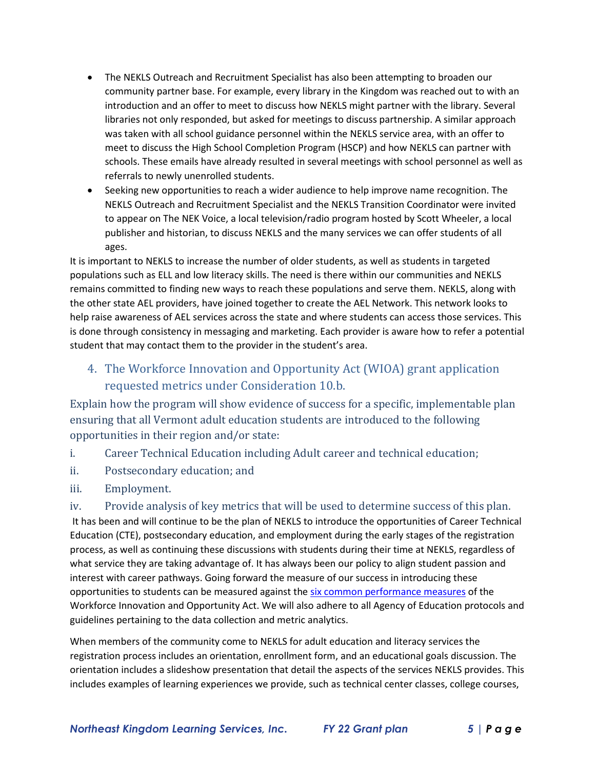- The NEKLS Outreach and Recruitment Specialist has also been attempting to broaden our community partner base. For example, every library in the Kingdom was reached out to with an introduction and an offer to meet to discuss how NEKLS might partner with the library. Several libraries not only responded, but asked for meetings to discuss partnership. A similar approach was taken with all school guidance personnel within the NEKLS service area, with an offer to meet to discuss the High School Completion Program (HSCP) and how NEKLS can partner with schools. These emails have already resulted in several meetings with school personnel as well as referrals to newly unenrolled students.
- Seeking new opportunities to reach a wider audience to help improve name recognition. The NEKLS Outreach and Recruitment Specialist and the NEKLS Transition Coordinator were invited to appear on The NEK Voice, a local television/radio program hosted by Scott Wheeler, a local publisher and historian, to discuss NEKLS and the many services we can offer students of all ages.

It is important to NEKLS to increase the number of older students, as well as students in targeted populations such as ELL and low literacy skills. The need is there within our communities and NEKLS remains committed to finding new ways to reach these populations and serve them. NEKLS, along with the other state AEL providers, have joined together to create the AEL Network. This network looks to help raise awareness of AEL services across the state and where students can access those services. This is done through consistency in messaging and marketing. Each provider is aware how to refer a potential student that may contact them to the provider in the student's area.

4. The Workforce Innovation and Opportunity Act (WIOA) grant application requested metrics under Consideration 10.b.

Explain how the program will show evidence of success for a specific, implementable plan ensuring that all Vermont adult education students are introduced to the following opportunities in their region and/or state:

- i. Career Technical Education including Adult career and technical education;
- ii. Postsecondary education; and
- iii. Employment.

iv. Provide analysis of key metrics that will be used to determine success of this plan.

It has been and will continue to be the plan of NEKLS to introduce the opportunities of Career Technical Education (CTE), postsecondary education, and employment during the early stages of the registration process, as well as continuing these discussions with students during their time at NEKLS, regardless of what service they are taking advantage of. It has always been our policy to align student passion and interest with career pathways. Going forward the measure of our success in introducing these opportunities to students can be measured against the [six common performance measures](https://www.dol.gov/agencies/eta/performance/performance-indicators) of the Workforce Innovation and Opportunity Act. We will also adhere to all Agency of Education protocols and guidelines pertaining to the data collection and metric analytics.

When members of the community come to NEKLS for adult education and literacy services the registration process includes an orientation, enrollment form, and an educational goals discussion. The orientation includes a slideshow presentation that detail the aspects of the services NEKLS provides. This includes examples of learning experiences we provide, such as technical center classes, college courses,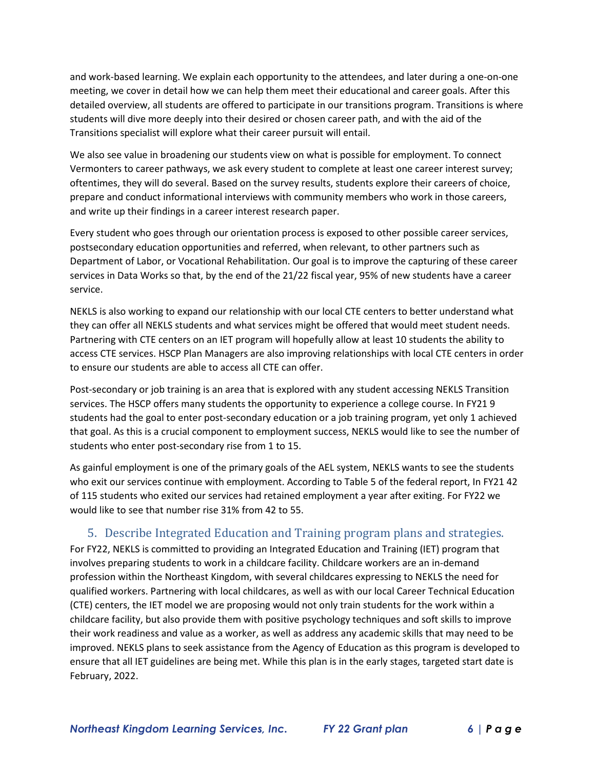and work-based learning. We explain each opportunity to the attendees, and later during a one-on-one meeting, we cover in detail how we can help them meet their educational and career goals. After this detailed overview, all students are offered to participate in our transitions program. Transitions is where students will dive more deeply into their desired or chosen career path, and with the aid of the Transitions specialist will explore what their career pursuit will entail.

We also see value in broadening our students view on what is possible for employment. To connect Vermonters to career pathways, we ask every student to complete at least one career interest survey; oftentimes, they will do several. Based on the survey results, students explore their careers of choice, prepare and conduct informational interviews with community members who work in those careers, and write up their findings in a career interest research paper.

Every student who goes through our orientation process is exposed to other possible career services, postsecondary education opportunities and referred, when relevant, to other partners such as Department of Labor, or Vocational Rehabilitation. Our goal is to improve the capturing of these career services in Data Works so that, by the end of the 21/22 fiscal year, 95% of new students have a career service.

NEKLS is also working to expand our relationship with our local CTE centers to better understand what they can offer all NEKLS students and what services might be offered that would meet student needs. Partnering with CTE centers on an IET program will hopefully allow at least 10 students the ability to access CTE services. HSCP Plan Managers are also improving relationships with local CTE centers in order to ensure our students are able to access all CTE can offer.

Post-secondary or job training is an area that is explored with any student accessing NEKLS Transition services. The HSCP offers many students the opportunity to experience a college course. In FY21 9 students had the goal to enter post-secondary education or a job training program, yet only 1 achieved that goal. As this is a crucial component to employment success, NEKLS would like to see the number of students who enter post-secondary rise from 1 to 15.

As gainful employment is one of the primary goals of the AEL system, NEKLS wants to see the students who exit our services continue with employment. According to Table 5 of the federal report, In FY21 42 of 115 students who exited our services had retained employment a year after exiting. For FY22 we would like to see that number rise 31% from 42 to 55.

## 5. Describe Integrated Education and Training program plans and strategies.

For FY22, NEKLS is committed to providing an Integrated Education and Training (IET) program that involves preparing students to work in a childcare facility. Childcare workers are an in-demand profession within the Northeast Kingdom, with several childcares expressing to NEKLS the need for qualified workers. Partnering with local childcares, as well as with our local Career Technical Education (CTE) centers, the IET model we are proposing would not only train students for the work within a childcare facility, but also provide them with positive psychology techniques and soft skills to improve their work readiness and value as a worker, as well as address any academic skills that may need to be improved. NEKLS plans to seek assistance from the Agency of Education as this program is developed to ensure that all IET guidelines are being met. While this plan is in the early stages, targeted start date is February, 2022.